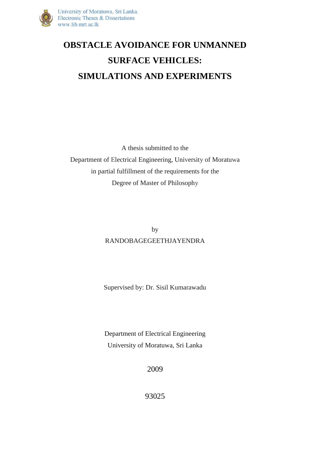

## **OBSTACLE AVOIDANCE FOR UNMANNED SURFACE VEHICLES: SIMULATIONS AND EXPERIMENTS**

A thesis submitted to the Department of Electrical Engineering, University of Moratuwa in partial fulfillment of the requirements for the Degree of Master of Philosophy

> by RANDOBAGEGEETHJAYENDRA

Supervised by: Dr. Sisil Kumarawadu

Department of Electrical Engineering University of Moratuwa, Sri Lanka

2009

93025